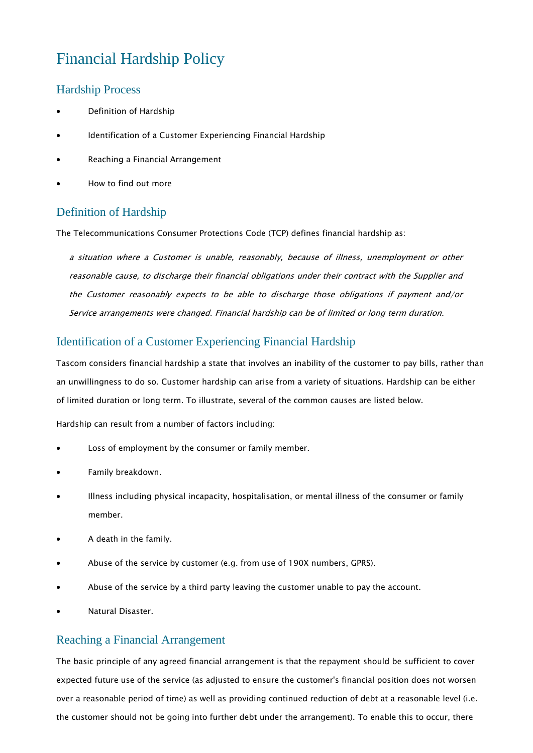# Financial Hardship Policy

#### Hardship Process

- Definition of Hardship
- Identification of a Customer Experiencing Financial Hardship
- Reaching a Financial Arrangement
- How to find out more

## Definition of Hardship

The Telecommunications Consumer Protections Code (TCP) defines financial hardship as:

a situation where a Customer is unable, reasonably, because of illness, unemployment or other reasonable cause, to discharge their financial obligations under their contract with the Supplier and the Customer reasonably expects to be able to discharge those obligations if payment and/or Service arrangements were changed. Financial hardship can be of limited or long term duration.

### Identification of a Customer Experiencing Financial Hardship

Tascom considers financial hardship a state that involves an inability of the customer to pay bills, rather than an unwillingness to do so. Customer hardship can arise from a variety of situations. Hardship can be either of limited duration or long term. To illustrate, several of the common causes are listed below.

Hardship can result from a number of factors including:

- Loss of employment by the consumer or family member.
- Family breakdown.
- Illness including physical incapacity, hospitalisation, or mental illness of the consumer or family member.
- A death in the family.
- Abuse of the service by customer (e.g. from use of 190X numbers, GPRS).
- Abuse of the service by a third party leaving the customer unable to pay the account.
- Natural Disaster.

#### Reaching a Financial Arrangement

The basic principle of any agreed financial arrangement is that the repayment should be sufficient to cover expected future use of the service (as adjusted to ensure the customer's financial position does not worsen over a reasonable period of time) as well as providing continued reduction of debt at a reasonable level (i.e. the customer should not be going into further debt under the arrangement). To enable this to occur, there